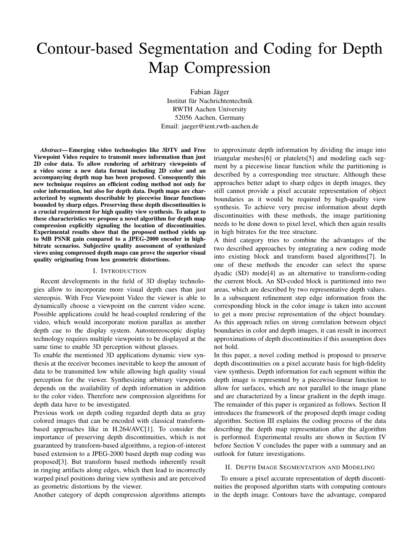# Contour-based Segmentation and Coding for Depth Map Compression

Fabian Jäger Institut für Nachrichtentechnik RWTH Aachen University 52056 Aachen, Germany Email: jaeger@ient.rwth-aachen.de

*Abstract*— Emerging video technologies like 3DTV and Free Viewpoint Video require to transmit more information than just 2D color data. To allow rendering of arbitrary viewpoints of a video scene a new data format including 2D color and an accompanying depth map has been proposed. Consequently this new technique requires an efficient coding method not only for color information, but also for depth data. Depth maps are characterized by segments describable by piecewise linear functions bounded by sharp edges. Preserving these depth discontinuities is a crucial requirement for high quality view synthesis. To adapt to these characteristics we propose a novel algorithm for depth map compression explicitly signaling the location of discontinuities. Experimental results show that the proposed method yields up to 9dB PSNR gain compared to a JPEG-2000 encoder in highbitrate scenarios. Subjective quality assessment of synthesized views using compressed depth maps can prove the superior visual quality originating from less geometric distortions.

#### I. INTRODUCTION

Recent developments in the field of 3D display technologies allow to incorporate more visual depth cues than just stereopsis. With Free Viewpoint Video the viewer is able to dynamically choose a viewpoint on the current video scene. Possible applications could be head-coupled rendering of the video, which would incorporate motion parallax as another depth cue to the display system. Autostereoscopic display technology requires multiple viewpoints to be displayed at the same time to enable 3D perception without glasses.

To enable the mentioned 3D applications dynamic view synthesis at the receiver becomes inevitable to keep the amount of data to be transmitted low while allowing high quality visual perception for the viewer. Synthesizing arbitrary viewpoints depends on the availability of depth information in addition to the color video. Therefore new compression algorithms for depth data have to be investigated.

Previous work on depth coding regarded depth data as gray colored images that can be encoded with classical transformbased approaches like in H.264/AVC[1]. To consider the importance of preserving depth discontinuities, which is not guaranteed by transform-based algorithms, a region-of-interest based extension to a JPEG-2000 based depth map coding was proposed[3]. But transform based methods inherently result in ringing artifacts along edges, which then lead to incorrectly warped pixel positions during view synthesis and are perceived as geometric distortions by the viewer.

Another category of depth compression algorithms attempts

to approximate depth information by dividing the image into triangular meshes[6] or platelets[5] and modeling each segment by a piecewise linear function while the partitioning is described by a corresponding tree structure. Although these approaches better adapt to sharp edges in depth images, they still cannot provide a pixel accurate representation of object boundaries as it would be required by high-quality view synthesis. To achieve very precise information about depth discontinuities with these methods, the image partitioning needs to be done down to pixel level, which then again results in high bitrates for the tree structure.

A third category tries to combine the advantages of the two described approaches by integrating a new coding mode into existing block and transform based algorithms[7]. In one of these methods the encoder can select the sparse dyadic (SD) mode[4] as an alternative to transform-coding the current block. An SD-coded block is partitioned into two areas, which are described by two representative depth values. In a subsequent refinement step edge information from the corresponding block in the color image is taken into account to get a more precise representation of the object boundary. As this approach relies on strong correlation between object boundaries in color and depth images, it can result in incorrect approximations of depth discontinuities if this assumption does not hold.

In this paper, a novel coding method is proposed to preserve depth discontinuities on a pixel accurate basis for high-fidelity view synthesis. Depth information for each segment within the depth image is represented by a piecewise-linear function to allow for surfaces, which are not parallel to the image plane and are characterized by a linear gradient in the depth image. The remainder of this paper is organized as follows. Section II introduces the framework of the proposed depth image coding algorithm. Section III explains the coding process of the data describing the depth map representation after the algorithm is performed. Experimental results are shown in Section IV before Section V concludes the paper with a summary and an outlook for future investigations.

#### II. DEPTH IMAGE SEGMENTATION AND MODELING

To ensure a pixel accurate representation of depth discontinuities the proposed algorithm starts with computing contours in the depth image. Contours have the advantage, compared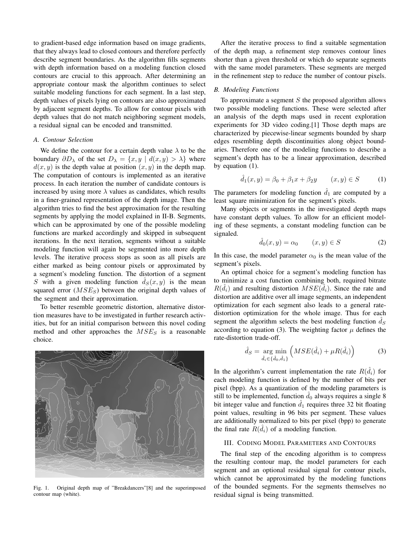to gradient-based edge information based on image gradients, that they always lead to closed contours and therefore perfectly describe segment boundaries. As the algorithm fills segments with depth information based on a modeling function closed contours are crucial to this approach. After determining an appropriate contour mask the algorithm continues to select suitable modeling functions for each segment. In a last step, depth values of pixels lying on contours are also approximated by adjacent segment depths. To allow for contour pixels with depth values that do not match neighboring segment models, a residual signal can be encoded and transmitted.

## *A. Contour Selection*

We define the contour for a certain depth value  $\lambda$  to be the boundary  $\partial D_{\lambda}$  of the set  $D_{\lambda} = \{x, y \mid d(x, y) > \lambda\}$  where  $d(x, y)$  is the depth value at position  $(x, y)$  in the depth map. The computation of contours is implemented as an iterative process. In each iteration the number of candidate contours is increased by using more  $\lambda$  values as candidates, which results in a finer-grained representation of the depth image. Then the algorithm tries to find the best approximation for the resulting segments by applying the model explained in II-B. Segments, which can be approximated by one of the possible modeling functions are marked accordingly and skipped in subsequent iterations. In the next iteration, segments without a suitable modeling function will again be segmented into more depth levels. The iterative process stops as soon as all pixels are either marked as being contour pixels or approximated by a segment's modeling function. The distortion of a segment S with a given modeling function  $\hat{d}_S(x, y)$  is the mean squared error  $(MSE<sub>S</sub>)$  between the original depth values of the segment and their approximation.

To better resemble geometric distortion, alternative distortion measures have to be investigated in further research activities, but for an initial comparison between this novel coding method and other approaches the  $MSE_S$  is a reasonable choice.



Fig. 1. Original depth map of "Breakdancers"[8] and the superimposed contour map (white).

After the iterative process to find a suitable segmentation of the depth map, a refinement step removes contour lines shorter than a given threshold or which do separate segments with the same model parameters. These segments are merged in the refinement step to reduce the number of contour pixels.

# *B. Modeling Functions*

To approximate a segment  $S$  the proposed algorithm allows two possible modeling functions. These were selected after an analysis of the depth maps used in recent exploration experiments for 3D video coding.[1] Those depth maps are characterized by piecewise-linear segments bounded by sharp edges resembling depth discontinuities along object boundaries. Therefore one of the modeling functions to describe a segment's depth has to be a linear approximation, described by equation (1).

$$
\hat{d}_1(x, y) = \beta_0 + \beta_1 x + \beta_2 y \qquad (x, y) \in S \tag{1}
$$

The parameters for modeling function  $\hat{d}_1$  are computed by a least square minimization for the segment's pixels.

Many objects or segments in the investigated depth maps have constant depth values. To allow for an efficient modeling of these segments, a constant modeling function can be signaled.

$$
\hat{d}_0(x, y) = \alpha_0 \qquad (x, y) \in S \tag{2}
$$

In this case, the model parameter  $\alpha_0$  is the mean value of the segment's pixels.

An optimal choice for a segment's modeling function has to minimize a cost function combining both, required bitrate  $R(\hat{d}_i)$  and resulting distortion  $MSE(\hat{d}_i)$ . Since the rate and distortion are additive over all image segments, an independent optimization for each segment also leads to a general ratedistortion optimization for the whole image. Thus for each segment the algorithm selects the best modeling function  $\hat{d}_s$ according to equation (3). The weighting factor  $\mu$  defines the rate-distortion trade-off.

$$
\hat{d}_S = \underset{\hat{d}_i \in \{\hat{d}_0, \hat{d}_1\}}{\arg \min} \left( MSE(\hat{d}_i) + \mu R(\hat{d}_i) \right) \tag{3}
$$

In the algorithm's current implementation the rate  $R(\hat{d}_i)$  for each modeling function is defined by the number of bits per pixel (bpp). As a quantization of the modeling parameters is still to be implemented, function  $\hat{d}_0$  always requires a single 8 bit integer value and function  $\hat{d}_1$  requires three 32 bit floating point values, resulting in 96 bits per segment. These values are additionally normalized to bits per pixel (bpp) to generate the final rate  $R(\hat{d}_i)$  of a modeling function.

#### III. CODING MODEL PARAMETERS AND CONTOURS

The final step of the encoding algorithm is to compress the resulting contour map, the model parameters for each segment and an optional residual signal for contour pixels, which cannot be approximated by the modeling functions of the bounded segments. For the segments themselves no residual signal is being transmitted.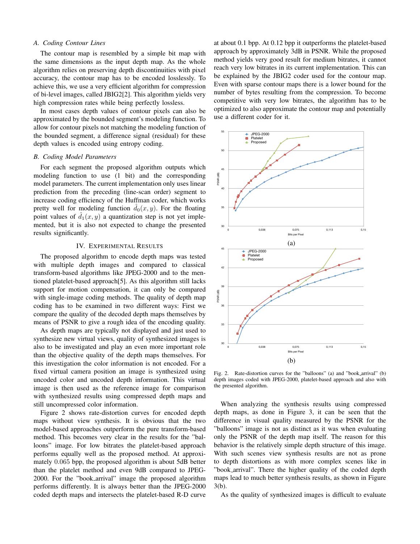#### *A. Coding Contour Lines*

The contour map is resembled by a simple bit map with the same dimensions as the input depth map. As the whole algorithm relies on preserving depth discontinuities with pixel accuracy, the contour map has to be encoded losslessly. To achieve this, we use a very efficient algorithm for compression of bi-level images, called JBIG2[2]. This algorithm yields very high compression rates while being perfectly lossless.

In most cases depth values of contour pixels can also be approximated by the bounded segment's modeling function. To allow for contour pixels not matching the modeling function of the bounded segment, a difference signal (residual) for these depth values is encoded using entropy coding.

#### *B. Coding Model Parameters*

For each segment the proposed algorithm outputs which modeling function to use (1 bit) and the corresponding model parameters. The current implementation only uses linear prediction from the preceding (line-scan order) segment to increase coding efficiency of the Huffman coder, which works pretty well for modeling function  $\hat{d}_0(x, y)$ . For the floating point values of  $\hat{d}_1(x, y)$  a quantization step is not yet implemented, but it is also not expected to change the presented results significantly.

## IV. EXPERIMENTAL RESULTS

The proposed algorithm to encode depth maps was tested with multiple depth images and  $\epsilon$  compared to classical transform-based algorithms like JPEG-2000 and to the mentioned platelet-based approach<sup>[5]</sup>. As this algorithm still lacks support for motion compensation, it can only be compared with single-image coding methods. The quality of depth map coding has to be examined in two different ways: First we compare the quality of the decoded depth maps themselves by means of PSNR  $\phi$  give a rough idea of the encoding quality. PSNR (dB)

As depth maps are typically not displayed and just used to synthesize new virtual views, quality of synthesized images is also to be investigated and play an even more important role than the objective quality of the depth maps themselves. For this investigation the color information is not encoded. For a fixed virtual camera position an image is synthesized using uncoded color and uncoded depth information. This virtual image is then used as the reference image for comparison with synthesized results using compressed depth maps and still uncompressed color information.

Figure 2 shows rate-distortion curves for encoded depth maps without view synthesis. It is obvious that the two model-based approaches outperform the pure transform-based method. This becomes very clear in the results for the "balloons" image. For low bitrates the platelet-based approach performs equally well as the proposed method. At approximately 0.065 bpp, the proposed algorithm is about 5dB better than the platelet method and even 9dB compared to JPEG-2000. For the "book arrival" image the proposed algorithm performs differently. It is always better than the JPEG-2000 coded depth maps and intersects the platelet-based R-D curve

at about 0.1 bpp. At 0.12 bpp it outperforms the platelet-based approach by approximately 3dB in PSNR. While the proposed method yields very good result for medium bitrates, it cannot reach very low bitrates in its current implementation. This can be explained by the JBIG2 coder used for the contour map. Even with sparse contour maps there is a lower bound for the number of bytes resulting from the compression. To become competitive with very low bitrates, the algorithm has to be optimized to also approximate the contour map and potentially use a different coder for it.



Fig. 2. Rate-distortion curves for the "balloons" (a) and "book arrival" (b) depth images coded with JPEG-2000, platelet-based approach and also with the presented algorithm.

When analyzing the synthesis results using compressed depth maps, as done in Figure 3, it can be seen that the difference in visual quality measured by the PSNR for the "balloons" image is not as distinct as it was when evaluating only the PSNR of the depth map itself. The reason for this behavior is the relatively simple depth structure of this image. With such scenes view synthesis results are not as prone to depth distortions as with more complex scenes like in "book arrival". There the higher quality of the coded depth maps lead to much better synthesis results, as shown in Figure 3(b).

As the quality of synthesized images is difficult to evaluate